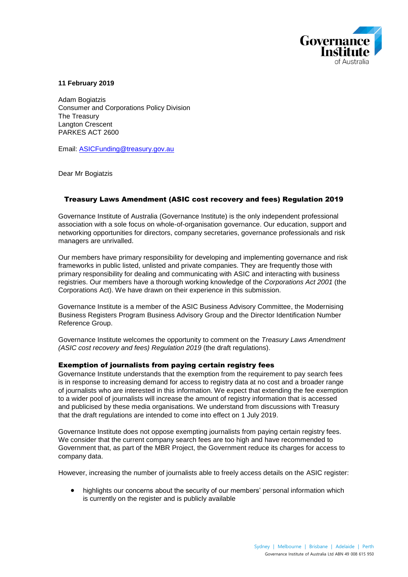

## **11 February 2019**

Adam Bogiatzis Consumer and Corporations Policy Division The Treasury Langton Crescent PARKES ACT 2600

Email: [ASICFunding@treasury.gov.au](mailto:ASICFunding@treasury.gov.au)

Dear Mr Bogiatzis

## Treasury Laws Amendment (ASIC cost recovery and fees) Regulation 2019

Governance Institute of Australia (Governance Institute) is the only independent professional association with a sole focus on whole-of-organisation governance. Our education, support and networking opportunities for directors, company secretaries, governance professionals and risk managers are unrivalled.

Our members have primary responsibility for developing and implementing governance and risk frameworks in public listed, unlisted and private companies. They are frequently those with primary responsibility for dealing and communicating with ASIC and interacting with business registries. Our members have a thorough working knowledge of the *Corporations Act 2001* (the Corporations Act). We have drawn on their experience in this submission.

Governance Institute is a member of the ASIC Business Advisory Committee, the Modernising Business Registers Program Business Advisory Group and the Director Identification Number Reference Group.

Governance Institute welcomes the opportunity to comment on the *Treasury Laws Amendment (ASIC cost recovery and fees) Regulation 2019* (the draft regulations).

## Exemption of journalists from paying certain registry fees

Governance Institute understands that the exemption from the requirement to pay search fees is in response to increasing demand for access to registry data at no cost and a broader range of journalists who are interested in this information. We expect that extending the fee exemption to a wider pool of journalists will increase the amount of registry information that is accessed and publicised by these media organisations. We understand from discussions with Treasury that the draft regulations are intended to come into effect on 1 July 2019.

Governance Institute does not oppose exempting journalists from paying certain registry fees. We consider that the current company search fees are too high and have recommended to Government that, as part of the MBR Project, the Government reduce its charges for access to company data.

However, increasing the number of journalists able to freely access details on the ASIC register:

 highlights our concerns about the security of our members' personal information which is currently on the register and is publicly available